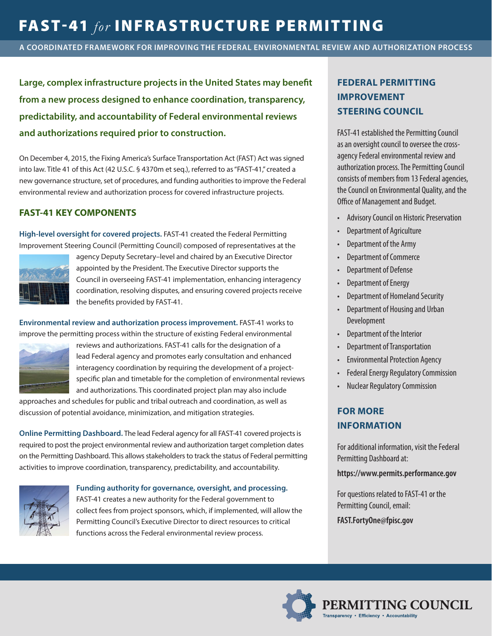# FAST-41 *for* INFRASTRUCTURE PERMITTING

**A COORDINATED FRAMEWORK FOR IMPROVING THE FEDERAL ENVIRONMENTAL REVIEW AND AUTHORIZATION PROCESS**

**Large, complex infrastructure projects in the United States may benefit from a new process designed to enhance coordination, transparency, predictability, and accountability of Federal environmental reviews and authorizations required prior to construction.**

On December 4, 2015, the Fixing America's Surface Transportation Act (FAST) Act was signed into law. Title 41 of this Act (42 U.S.C. § 4370m et seq.), referred to as "FAST-41," created a new governance structure, set of procedures, and funding authorities to improve the Federal environmental review and authorization process for covered infrastructure projects.

### **FAST-41 KEY COMPONENTS**

**High-level oversight for covered projects.** FAST-41 created the Federal Permitting Improvement Steering Council (Permitting Council) composed of representatives at the



agency Deputy Secretary–level and chaired by an Executive Director appointed by the President. The Executive Director supports the Council in overseeing FAST-41 implementation, enhancing interagency coordination, resolving disputes, and ensuring covered projects receive the benefits provided by FAST-41.

**Environmental review and authorization process improvement.** FAST-41 works to improve the permitting process within the structure of existing Federal environmental



reviews and authorizations. FAST-41 calls for the designation of a lead Federal agency and promotes early consultation and enhanced interagency coordination by requiring the development of a projectspecific plan and timetable for the completion of environmental reviews and authorizations. This coordinated project plan may also include

approaches and schedules for public and tribal outreach and coordination, as well as discussion of potential avoidance, minimization, and mitigation strategies.

**Online Permitting Dashboard.** The lead Federal agency for all FAST-41 covered projects is required to post the project environmental review and authorization target completion dates on the Permitting Dashboard. This allows stakeholders to track the status of Federal permitting activities to improve coordination, transparency, predictability, and accountability.



**Funding authority for governance, oversight, and processing.** 

FAST-41 creates a new authority for the Federal government to collect fees from project sponsors, which, if implemented, will allow the Permitting Council's Executive Director to direct resources to critical functions across the Federal environmental review process.

## **FEDERAL PERMITTING IMPROVEMENT STEERING COUNCIL**

FAST-41 established the Permitting Council as an oversight council to oversee the crossagency Federal environmental review and authorization process. The Permitting Council consists of members from 13 Federal agencies, the Council on Environmental Quality, and the Office of Management and Budget.

- Advisory Council on Historic Preservation
- Department of Agriculture
- Department of the Army
- Department of Commerce
- Department of Defense
- Department of Energy
- Department of Homeland Security
- Department of Housing and Urban Development
- Department of the Interior
- Department of Transportation
- Environmental Protection Agency
- Federal Energy Regulatory Commission
- Nuclear Regulatory Commission

### **FOR MORE INFORMATION**

For additional information, visit the Federal Permitting Dashboard at:

**https://www.permits.performance.gov**

For questions related to FAST-41 or the Permitting Council, email:

**FAST.FortyOne@fpisc.gov**